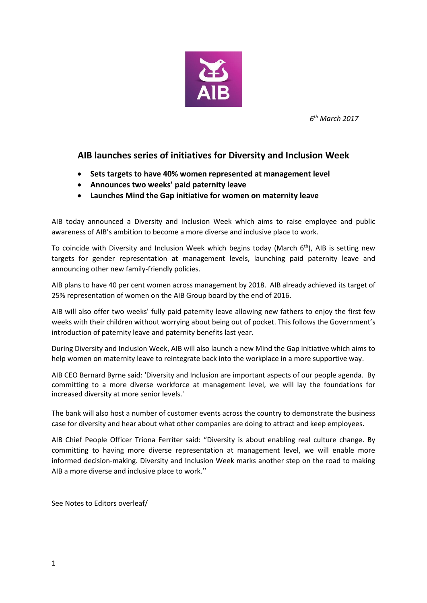

*6 th March 2017*

## **AIB launches series of initiatives for Diversity and Inclusion Week**

- **Sets targets to have 40% women represented at management level**
- **Announces two weeks' paid paternity leave**
- **Launches Mind the Gap initiative for women on maternity leave**

AIB today announced a Diversity and Inclusion Week which aims to raise employee and public awareness of AIB's ambition to become a more diverse and inclusive place to work.

To coincide with Diversity and Inclusion Week which begins today (March  $6<sup>th</sup>$ ), AIB is setting new targets for gender representation at management levels, launching paid paternity leave and announcing other new family-friendly policies.

AIB plans to have 40 per cent women across management by 2018. AIB already achieved its target of 25% representation of women on the AIB Group board by the end of 2016.

AIB will also offer two weeks' fully paid paternity leave allowing new fathers to enjoy the first few weeks with their children without worrying about being out of pocket. This follows the Government's introduction of paternity leave and paternity benefits last year.

During Diversity and Inclusion Week, AIB will also launch a new Mind the Gap initiative which aims to help women on maternity leave to reintegrate back into the workplace in a more supportive way.

AIB CEO Bernard Byrne said: 'Diversity and Inclusion are important aspects of our people agenda. By committing to a more diverse workforce at management level, we will lay the foundations for increased diversity at more senior levels.'

The bank will also host a number of customer events across the country to demonstrate the business case for diversity and hear about what other companies are doing to attract and keep employees.

AIB Chief People Officer Triona Ferriter said: "Diversity is about enabling real culture change. By committing to having more diverse representation at management level, we will enable more informed decision-making. Diversity and Inclusion Week marks another step on the road to making AIB a more diverse and inclusive place to work.''

See Notes to Editors overleaf/